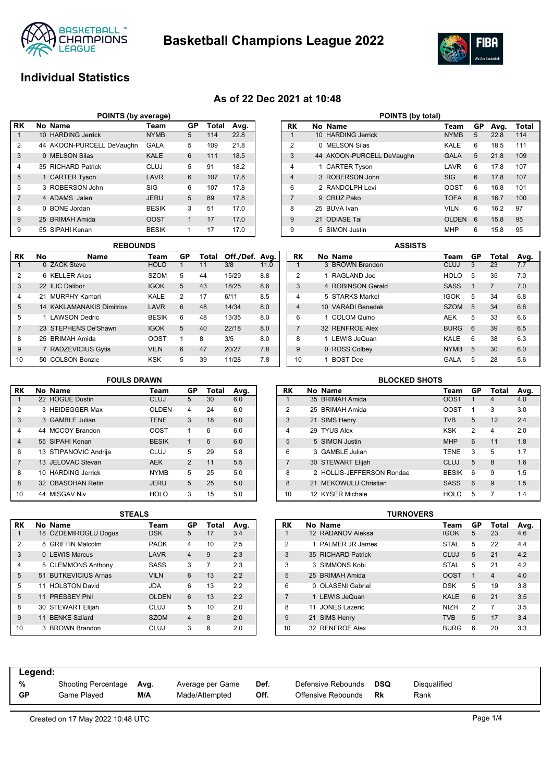

**Basketball Champions League 2022**



# **Individual Statistics**

### **As of 22 Dec 2021 at 10:48**

|                | POINTS (by average)       |              |    |       |      |
|----------------|---------------------------|--------------|----|-------|------|
| l RK           | No Name                   | Team         | GP | Total | Avg. |
|                | 10 HARDING Jerrick        | <b>NYMB</b>  | 5  | 114   | 22.8 |
| $\overline{2}$ | 44 AKOON-PURCELL DeVaughn | <b>GALA</b>  | 5  | 109   | 21.8 |
| 3              | 0 MELSON Silas            | KALE         | 6  | 111   | 18.5 |
| $\overline{4}$ | 35 RICHARD Patrick        | CLUJ         | 5  | 91    | 18.2 |
| 5              | 1 CARTER Tyson            | LAVR         | 6  | 107   | 17.8 |
| 5              | 3 ROBERSON John           | SIG          | 6  | 107   | 17.8 |
| $\overline{7}$ | 4 ADAMS Jalen             | <b>JERU</b>  | 5  | 89    | 17.8 |
| 8              | 0 BONE Jordan             | <b>BESIK</b> | 3  | 51    | 17.0 |
| 9              | 25 BRIMAH Amida           | <b>OOST</b>  | 1  | 17    | 17.0 |
| 9              | 55 SIPAHI Kenan           | <b>BESIK</b> | 1  | 17    | 17.0 |

|                |    | <b>REBOUNDS</b>                  |              |               |       |                |      |
|----------------|----|----------------------------------|--------------|---------------|-------|----------------|------|
| RK             | No | <b>Name</b>                      | Team         | GP            | Total | Off./Def. Avg. |      |
|                |    | 0 ZACK Steve                     | <b>HOLO</b>  | 1             | 11    | 3/8            | 11.0 |
| 2              |    | 6 KFLIFR Akos                    | <b>SZOM</b>  | 5             | 44    | 15/29          | 8.8  |
| 3              |    | 22 ILIC Dalibor                  | <b>IGOK</b>  | 5             | 43    | 18/25          | 8.6  |
| 4              |    | 21 MURPHY Kamari                 | KALE         | $\mathcal{P}$ | 17    | 6/11           | 8.5  |
| 5              |    | <b>14 KAKLAMANAKIS Dimitrios</b> | LAVR         | 6             | 48    | 14/34          | 8.0  |
| 5              |    | 1 LAWSON Dedric                  | <b>BESIK</b> | 6             | 48    | 13/35          | 8.0  |
| $\overline{7}$ |    | 23 STEPHENS De'Shawn             | <b>IGOK</b>  | 5             | 40    | 22/18          | 8.0  |
| 8              |    | 25 BRIMAH Amida                  | <b>OOST</b>  | 1             | 8     | 3/5            | 8.0  |
| 9              |    | 7 RADZEVICIUS Gytis              | <b>VILN</b>  | 6             | 47    | 20/27          | 7.8  |
| 10             |    | 50 COLSON Bonzie                 | <b>KSK</b>   | 5             | 39    | 11/28          | 7.8  |

| POINTS (by total) |              |                           |              |    |      |       |  |  |  |  |  |
|-------------------|--------------|---------------------------|--------------|----|------|-------|--|--|--|--|--|
| RK                |              | No Name                   | Team         | GP | Avg. | Total |  |  |  |  |  |
| 1                 |              | 10 HARDING Jerrick        | <b>NYMB</b>  | 5  | 22.8 | 114   |  |  |  |  |  |
| $\overline{2}$    | <sup>0</sup> | <b>MELSON Silas</b>       | KALE         | 6  | 18.5 | 111   |  |  |  |  |  |
| 3                 |              | 44 AKOON-PURCELL DeVaughn | <b>GALA</b>  | 5  | 21.8 | 109   |  |  |  |  |  |
| $\overline{4}$    |              | 1 CARTER Tyson            | LAVR         | 6  | 17.8 | 107   |  |  |  |  |  |
| $\overline{4}$    |              | 3 ROBERSON John           | SIG          | 6  | 17.8 | 107   |  |  |  |  |  |
| 6                 |              | 2 RANDOLPH Levi           | OOST         | 6  | 16.8 | 101   |  |  |  |  |  |
| $\overline{7}$    |              | 9 CRUZ Pako               | <b>TOFA</b>  | 6  | 16.7 | 100   |  |  |  |  |  |
| 8                 |              | 25 BUVA Ivan              | <b>VILN</b>  | 6  | 16.2 | 97    |  |  |  |  |  |
| 9                 | 21           | <b>ODIASE Tai</b>         | <b>OLDEN</b> | 6  | 15.8 | 95    |  |  |  |  |  |
| 9                 |              | 5 SIMON Justin            | <b>MHP</b>   | 6  | 15.8 | 95    |  |  |  |  |  |

|                | <b>ASSISTS</b> |                   |  |             |    |                |      |  |  |  |  |
|----------------|----------------|-------------------|--|-------------|----|----------------|------|--|--|--|--|
| RK             |                | No Name           |  | Team        | GP | Total          | Avg. |  |  |  |  |
|                |                | 3 BROWN Brandon   |  | <b>CLUJ</b> | 3  | 23             | 7.7  |  |  |  |  |
| $\overline{2}$ |                | 1 RAGLAND Joe     |  | <b>HOLO</b> | 5  | 35             | 7.0  |  |  |  |  |
| 3              |                | 4 ROBINSON Gerald |  | <b>SASS</b> | 1  | $\overline{7}$ | 7.0  |  |  |  |  |
| $\overline{4}$ |                | 5 STARKS Markel   |  | <b>IGOK</b> | 5  | 34             | 6.8  |  |  |  |  |
| $\overline{4}$ |                | 10 VARADI Benedek |  | <b>SZOM</b> | 5  | 34             | 6.8  |  |  |  |  |
| 6              |                | 1 COLOM Quino     |  | <b>AEK</b>  | 5  | 33             | 6.6  |  |  |  |  |
| 7              |                | 32 RENFROE Alex   |  | <b>BURG</b> | 6  | 39             | 6.5  |  |  |  |  |
| 8              |                | LEWIS JeQuan      |  | KALE        | 6  | 38             | 6.3  |  |  |  |  |
| 9              |                | 0 ROSS Colbey     |  | <b>NYMB</b> | 5  | 30             | 6.0  |  |  |  |  |
| 10             |                | <b>BOST</b> Dee   |  | GALA        | 5  | 28             | 5.6  |  |  |  |  |

#### **RK No Name Team GP Total Avg.** 1 22 HOGUE Dustin 2 3 HEIDEGGER Max **OLDEN** 4 24 6.0 3 3 GAMBLE Julian TENE 3 18 6.0 4 44 MCCOY Brandon OOST 1 6 6.0 4 55 SIPAHI Kenan BESIK 1 6 6.0 6 13 STIPANOVIC Andrija CLUJ 5 29 5.8 7 13 JELOVAC Stevan AEK 2 11 5.5 8 10 HARDING Jerrick MYMB 5 25 5.0 8 32 OBASOHAN Retin JERU 5 25 5.0 10 44 MISGAV Niv HOLO 3 15 5.0 **FOULS DRAWN**

|                | <b>BLOCKED SHOTS</b>                   |                           |              |                |    |     |  |  |  |  |  |  |
|----------------|----------------------------------------|---------------------------|--------------|----------------|----|-----|--|--|--|--|--|--|
| RK             | GP<br>No Name<br>Total<br>Team<br>Avg. |                           |              |                |    |     |  |  |  |  |  |  |
| 1              |                                        | 35 BRIMAH Amida           | <b>OOST</b>  | 1              | 4  | 4.0 |  |  |  |  |  |  |
| $\overline{2}$ |                                        | 25 BRIMAH Amida           | <b>OOST</b>  | 1              | 3  | 3.0 |  |  |  |  |  |  |
| 3              |                                        | 21 SIMS Henry             | <b>TVB</b>   | 5              | 12 | 2.4 |  |  |  |  |  |  |
| 4              |                                        | 29 TYUS Alex              | <b>KSK</b>   | $\overline{2}$ | 4  | 2.0 |  |  |  |  |  |  |
| 5              |                                        | 5 SIMON Justin            | <b>MHP</b>   | 6              | 11 | 1.8 |  |  |  |  |  |  |
| 6              |                                        | 3 GAMBLE Julian           | <b>TENE</b>  | 3              | 5  | 1.7 |  |  |  |  |  |  |
| $\overline{7}$ |                                        | 30 STEWART Elijah         | CLUJ         | 5              | 8  | 1.6 |  |  |  |  |  |  |
| 8              |                                        | 2 HOLLIS-JEFFERSON Rondae | <b>BESIK</b> | 6              | 9  | 1.5 |  |  |  |  |  |  |
| 8              |                                        | 21 MEKOWULU Christian     | <b>SASS</b>  | 6              | 9  | 1.5 |  |  |  |  |  |  |
| 10             |                                        | 12 KYSER Michale          | <b>HOLO</b>  | 5              | 7  | 1.4 |  |  |  |  |  |  |
|                |                                        |                           |              |                |    |     |  |  |  |  |  |  |

|                | 3 I EALJ |                        |              |                |       |      |  |  |  |  |  |  |
|----------------|----------|------------------------|--------------|----------------|-------|------|--|--|--|--|--|--|
| RK             |          | No Name                | Team         | GP             | Total | Avg. |  |  |  |  |  |  |
| 1              |          | 18 ÖZDEMIROGLU Dogus   | <b>DSK</b>   | 5              | 17    | 3.4  |  |  |  |  |  |  |
| $\overline{2}$ | 8        | <b>GRIFFIN Malcolm</b> | <b>PAOK</b>  | 4              | 10    | 2.5  |  |  |  |  |  |  |
| 3              |          | 0 LEWIS Marcus         | LAVR         | $\overline{4}$ | 9     | 2.3  |  |  |  |  |  |  |
| 4              |          | 5 CLEMMONS Anthony     | <b>SASS</b>  | 3              | 7     | 2.3  |  |  |  |  |  |  |
| 5              |          | 51 BUTKEVICIUS Arnas   | <b>VILN</b>  | 6              | 13    | 2.2  |  |  |  |  |  |  |
| 5              |          | 11 HOLSTON David       | JDA          | 6              | 13    | 2.2  |  |  |  |  |  |  |
| 5              |          | 11 PRESSEY Phil        | <b>OLDEN</b> | 6              | 13    | 2.2  |  |  |  |  |  |  |
| 8              |          | 30 STEWART Elijah      | CLUJ         | 5              | 10    | 2.0  |  |  |  |  |  |  |
| 9              | 11       | <b>BENKE Szilard</b>   | <b>SZOM</b>  | $\overline{4}$ | 8     | 2.0  |  |  |  |  |  |  |
| 10             |          | 3 BROWN Brandon        | CLUJ         | 3              | 6     | 2.0  |  |  |  |  |  |  |

| STEALS |              |                |       |      |           |    |                    | <b>TURNOVERS</b> |             |    |                |      |
|--------|--------------|----------------|-------|------|-----------|----|--------------------|------------------|-------------|----|----------------|------|
|        | Team         | GP             | Total | Avg. | <b>RK</b> |    | No Name            |                  | Team        | GP | <b>Total</b>   | Avg. |
|        | <b>DSK</b>   | 5              | 17    | 3.4  |           |    | 12 RADANOV Aleksa  |                  | <b>IGOK</b> | 5  | 23             | 4.6  |
|        | <b>PAOK</b>  | 4              | 10    | 2.5  | 2         |    | 1 PALMER JR James  |                  | <b>STAL</b> | 5  | 22             | 4.4  |
|        | LAVR         | $\overline{4}$ | 9     | 2.3  | 3         |    | 35 RICHARD Patrick |                  | CLUJ        | 5  | 21             | 4.2  |
|        | <b>SASS</b>  | 3              | 7     | 2.3  | 3         |    | 3 SIMMONS Kobi     |                  | <b>STAL</b> | 5  | 21             | 4.2  |
|        | <b>VILN</b>  | 6              | 13    | 2.2  | 5         |    | 25 BRIMAH Amida    |                  | <b>OOST</b> |    | $\overline{4}$ | 4.0  |
|        | <b>JDA</b>   | 6              | 13    | 2.2  | 6         |    | 0 OLASENI Gabriel  |                  | <b>DSK</b>  | 5  | 19             | 3.8  |
|        | <b>OLDEN</b> | 6              | 13    | 2.2  |           |    | 1 LEWIS JeQuan     |                  | <b>KALE</b> | 6  | 21             | 3.5  |
|        | <b>CLUJ</b>  | 5              | 10    | 2.0  | 8         | 11 | JONES Lazeric      |                  | <b>NIZH</b> | 2  | 7              | 3.5  |
|        | <b>SZOM</b>  | $\overline{4}$ | 8     | 2.0  | 9         |    | 21 SIMS Henry      |                  | <b>TVB</b>  | 5  | 17             | 3.4  |
|        | <b>CLUJ</b>  | 3              | 6     | 2.0  | 10        |    | 32 RENFROE Alex    |                  | <b>BURG</b> | 6  | 20             | 3.3  |

| Legend: |                            |      |                  |      |                    |            |              |
|---------|----------------------------|------|------------------|------|--------------------|------------|--------------|
| %       | <b>Shooting Percentage</b> | Avg. | Average per Game | Def. | Defensive Rebounds | <b>DSQ</b> | Disqualified |
| GP      | Game Plaved                | M/A  | Made/Attempted   | Off. | Offensive Rebounds | Rk         | Rank         |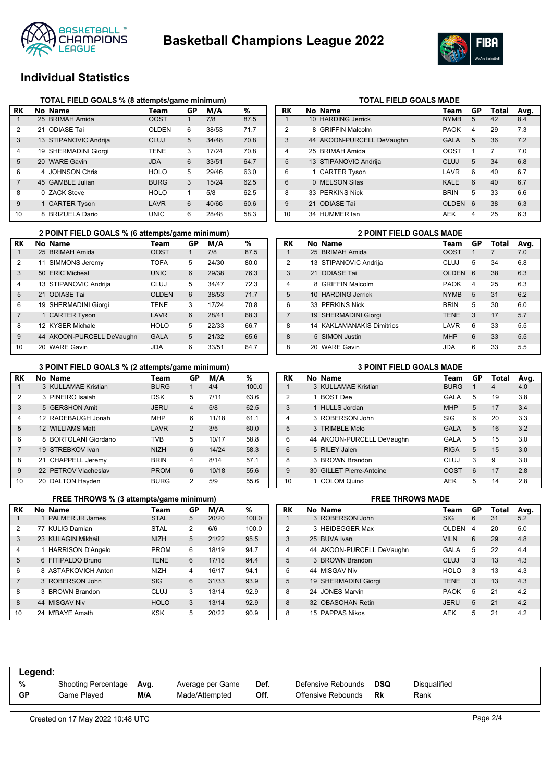



# **Individual Statistics**

|                |    | TOTAL FIELD GOALS % (8 attempts/game minimum) |             |    |       |      |
|----------------|----|-----------------------------------------------|-------------|----|-------|------|
| RK             |    | No Name                                       | Team        | GP | M/A   | %    |
|                |    | 25 BRIMAH Amida                               | <b>OOST</b> |    | 7/8   | 87.5 |
| $\overline{2}$ | 21 | <b>ODIASE Tai</b>                             | OLDEN       | 6  | 38/53 | 71.7 |
| 3              |    | 13 STIPANOVIC Andrija                         | CLUJ        | 5  | 34/48 | 70.8 |
| 4              |    | 19 SHERMADINI Giorgi                          | <b>TENE</b> | 3  | 17/24 | 70.8 |
| 5              |    | 20 WARE Gavin                                 | <b>JDA</b>  | 6  | 33/51 | 64.7 |
| 6              |    | 4 JOHNSON Chris                               | <b>HOLO</b> | 5  | 29/46 | 63.0 |
| 7              |    | 45 GAMBLE Julian                              | <b>BURG</b> | 3  | 15/24 | 62.5 |
| 8              |    | 0 ZACK Steve                                  | <b>HOLO</b> | 1  | 5/8   | 62.5 |
| 9              |    | 1 CARTER Tyson                                | LAVR        | 6  | 40/66 | 60.6 |
| 10             |    | 8 BRIZUELA Dario                              | <b>UNIC</b> | 6  | 28/48 | 58.3 |

|                | 2 POINT FIELD GOALS % (6 attempts/game minimum) |              |    |       |      |                | <b>2 POINT FIELD GOALS MADE</b>  |             |
|----------------|-------------------------------------------------|--------------|----|-------|------|----------------|----------------------------------|-------------|
| RK             | No Name                                         | Team         | GP | M/A   | %    | <b>RK</b>      | No Name                          | Team        |
|                | 25 BRIMAH Amida                                 | <b>OOST</b>  |    | 7/8   | 87.5 |                | 25 BRIMAH Amida                  | <b>OOST</b> |
| 2              | 11 SIMMONS Jeremy                               | <b>TOFA</b>  | 5  | 24/30 | 80.0 | $\overline{2}$ | 13 STIPANOVIC Andrija            | <b>CLUJ</b> |
| 3              | 50 ERIC Micheal                                 | <b>UNIC</b>  | 6  | 29/38 | 76.3 | 3              | 21 ODIASE Tai                    | <b>OLDE</b> |
| 4              | 13 STIPANOVIC Andrija                           | <b>CLUJ</b>  | 5  | 34/47 | 72.3 | 4              | 8 GRIFFIN Malcolm                | <b>PAOK</b> |
| 5              | 21 ODIASE Tai                                   | <b>OLDEN</b> | 6  | 38/53 | 71.7 | 5              | 10 HARDING Jerrick               | <b>NYMB</b> |
| 6              | 19 SHERMADINI Giorgi                            | <b>TENE</b>  | 3  | 17/24 | 70.8 | 6              | 33 PERKINS Nick                  | <b>BRIN</b> |
| $\overline{7}$ | 1 CARTER Tyson                                  | LAVR         | 6  | 28/41 | 68.3 |                | 19 SHERMADINI Giorgi             | <b>TENE</b> |
| 8              | 12 KYSER Michale                                | <b>HOLO</b>  | 5  | 22/33 | 66.7 | 8              | <b>14 KAKLAMANAKIS Dimitrios</b> | LAVR        |
| 9              | 44 AKOON-PURCELL DeVaughn                       | <b>GALA</b>  | 5  | 21/32 | 65.6 | 8              | 5 SIMON Justin                   | <b>MHP</b>  |
| 10             | 20 WARE Gavin                                   | <b>JDA</b>   | 6  | 33/51 | 64.7 | 8              | 20 WARE Gavin                    | <b>JDA</b>  |

#### **3 POINT FIELD GOALS % (2 attempts/game minimum) 3 POINT FIELD GOALS MADE**

| RK             | No Name              | Team        | GР             | M/A   | ℅     |
|----------------|----------------------|-------------|----------------|-------|-------|
|                | 3 KULLAMAE Kristian  | <b>BURG</b> | 1              | 4/4   | 100.0 |
| $\overline{2}$ | 3 PINEIRO Isaiah     | <b>DSK</b>  | 5              | 7/11  | 63.6  |
| 3              | 5 GERSHON Amit       | <b>JERU</b> | 4              | 5/8   | 62.5  |
| 4              | 12 RADEBAUGH Jonah   | <b>MHP</b>  | 6              | 11/18 | 61.1  |
| 5              | 12 WILLIAMS Matt     | LAVR        | $\overline{2}$ | 3/5   | 60.0  |
| 6              | 8 BORTOLANI Giordano | <b>TVB</b>  | 5              | 10/17 | 58.8  |
| $\overline{7}$ | 19 STREBKOV Ivan     | <b>NIZH</b> | 6              | 14/24 | 58.3  |
| 8              | 21 CHAPPELL Jeremy   | <b>BRIN</b> | 4              | 8/14  | 57.1  |
| 9              | 22 PETROV Viacheslav | <b>PROM</b> | 6              | 10/18 | 55.6  |
| 10             | 20 DALTON Hayden     | <b>BURG</b> | $\overline{2}$ | 5/9   | 55.6  |

|                | FREE THROWS % (3 attempts/game minimum) |             |             |       | <b>FREE THROWS MADE</b> |    |                           |                |
|----------------|-----------------------------------------|-------------|-------------|-------|-------------------------|----|---------------------------|----------------|
| RK             | No Name                                 | Team        | GР          | M/A   | %                       | RK | No Name                   | Τо             |
|                | 1 PALMER JR James                       | <b>STAL</b> | $5^{\circ}$ | 20/20 | 100.0                   |    | 3 ROBERSON John           | SI             |
| 2              | 77 KULIG Damian                         | <b>STAL</b> | 2           | 6/6   | 100.0                   | 2  | 3 HEIDEGGER Max           | O              |
| 3              | 23 KULAGIN Mikhail                      | <b>NIZH</b> | 5           | 21/22 | 95.5                    | 3  | 25 BUVA Ivan              | V <sub>1</sub> |
| $\overline{4}$ | 1 HARRISON D'Angelo                     | <b>PROM</b> | 6           | 18/19 | 94.7                    | 4  | 44 AKOON-PURCELL DeVaughn | G.             |
| 5              | 6 FITIPALDO Bruno                       | <b>TENE</b> | 6           | 17/18 | 94.4                    | 5  | 3 BROWN Brandon           | C <sub>1</sub> |
| 6              | 8 ASTAPKOVICH Anton                     | <b>NIZH</b> | 4           | 16/17 | 94.1                    | 5  | 44 MISGAV Niv             | Н١             |
| $\overline{7}$ | 3 ROBERSON John                         | <b>SIG</b>  | 6           | 31/33 | 93.9                    | 5  | 19 SHERMADINI Giorgi      | ΤI             |
| 8              | 3 BROWN Brandon                         | <b>CLUJ</b> | 3           | 13/14 | 92.9                    | 8  | 24 JONES Marvin           | P              |
| 8              | 44 MISGAV Niv                           | <b>HOLO</b> | 3           | 13/14 | 92.9                    | 8  | 32 OBASOHAN Retin         | <b>JE</b>      |
| 10             | 24 M'BAYE Amath                         | <b>KSK</b>  | 5           | 20/22 | 90.9                    | 8  | 15 PAPPAS Nikos           | Al             |

| <b>RK</b>      | No Name                   | Team         | GP | Total | Avg. |
|----------------|---------------------------|--------------|----|-------|------|
| 1              | 10 HARDING Jerrick        | <b>NYMB</b>  | 5  | 42    | 8.4  |
| $\overline{2}$ | 8 GRIFFIN Malcolm         | <b>PAOK</b>  | 4  | 29    | 7.3  |
| 3              | 44 AKOON-PURCELL DeVaughn | <b>GALA</b>  | 5  | 36    | 7.2  |
| 4              | 25 BRIMAH Amida           | OOST         | 1  | 7     | 7.0  |
| 5              | 13 STIPANOVIC Andrija     | CLUJ         | 5  | 34    | 6.8  |
| 6              | 1 CARTER Tyson            | LAVR         | 6  | 40    | 6.7  |
| 6              | 0 MELSON Silas            | <b>KALE</b>  | 6  | 40    | 6.7  |
| 8              | 33 PERKINS Nick           | <b>BRIN</b>  | 5  | 33    | 6.6  |
| 9              | 21 ODIASE Tai             | <b>OLDEN</b> | 6  | 38    | 6.3  |
| 10             | 34 HUMMER lan             | AEK          | 4  | 25    | 6.3  |

**TOTAL FIELD GOALS MADE** 

|                |     | <b>2 POINT FIELD GOALS MADE</b>  |              |    |       |      |
|----------------|-----|----------------------------------|--------------|----|-------|------|
| RK             |     | No Name                          | Team         | GP | Total | Avg. |
|                |     | 25 BRIMAH Amida                  | <b>OOST</b>  | 1  | 7     | 7.0  |
| $\overline{2}$ |     | 13 STIPANOVIC Andrija            | CLUJ         | 5  | 34    | 6.8  |
| 3              |     | 21 ODIASE Tai                    | <b>OLDEN</b> | 6  | 38    | 6.3  |
| $\overline{4}$ |     | 8 GRIFFIN Malcolm                | <b>PAOK</b>  | 4  | 25    | 6.3  |
| 5              |     | 10 HARDING Jerrick               | <b>NYMB</b>  | 5  | 31    | 6.2  |
| 6              |     | 33 PERKINS Nick                  | <b>BRIN</b>  | 5  | 30    | 6.0  |
| $\overline{7}$ |     | 19 SHERMADINI Giorgi             | <b>TENE</b>  | 3  | 17    | 5.7  |
| 8              |     | <b>14 KAKLAMANAKIS Dimitrios</b> | LAVR         | 6  | 33    | 5.5  |
| 8              |     | 5 SIMON Justin                   | <b>MHP</b>   | 6  | 33    | 5.5  |
| 8              | 20. | <b>WARF Gavin</b>                | JDA          | 6  | 33    | 5.5  |

| RK             | No Name                   | Team        | GР | Total | Avg. |
|----------------|---------------------------|-------------|----|-------|------|
|                | 3 KULLAMAE Kristian       | <b>BURG</b> | 1  | 4     | 4.0  |
| 2              | <b>BOST Dee</b>           | GALA        | 5  | 19    | 3.8  |
| 3              | 1 HULLS Jordan            | <b>MHP</b>  | 5  | 17    | 3.4  |
| $\overline{4}$ | 3 ROBERSON John           | SIG         | 6  | 20    | 3.3  |
| 5              | 3 TRIMBLE Melo            | <b>GALA</b> | 5  | 16    | 3.2  |
| 6              | 44 AKOON-PURCELL DeVaughn | GALA        | 5  | 15    | 3.0  |
| 6              | 5 RILEY Jalen             | <b>RIGA</b> | 5  | 15    | 3.0  |
| 8              | 3 BROWN Brandon           | CLUJ        | 3  | 9     | 3.0  |
| $\mathbf{Q}$   | 30 GILLET Pierre-Antoine  | <b>OOST</b> | 6  | 17    | 2.8  |
| 10             | <b>COLOM Quino</b>        | <b>AEK</b>  | 5  | 14    | 2.8  |

| Avg. |
|------|
|      |
| 5.2  |
| 5.0  |
| 4.8  |
| 4.4  |
| 4.3  |
| 4.3  |
| 4.3  |
| 4.2  |
| 4.2  |
| 4.2  |
|      |

| Legend:   |                            |      |                  |      |                    |     |                     |
|-----------|----------------------------|------|------------------|------|--------------------|-----|---------------------|
| %         | <b>Shooting Percentage</b> | Avg. | Average per Game | Def. | Defensive Rebounds | DSQ | <b>Disqualified</b> |
| <b>GP</b> | Game Played                | M/A  | Made/Attempted   | Off. | Offensive Rebounds | Rk  | Rank                |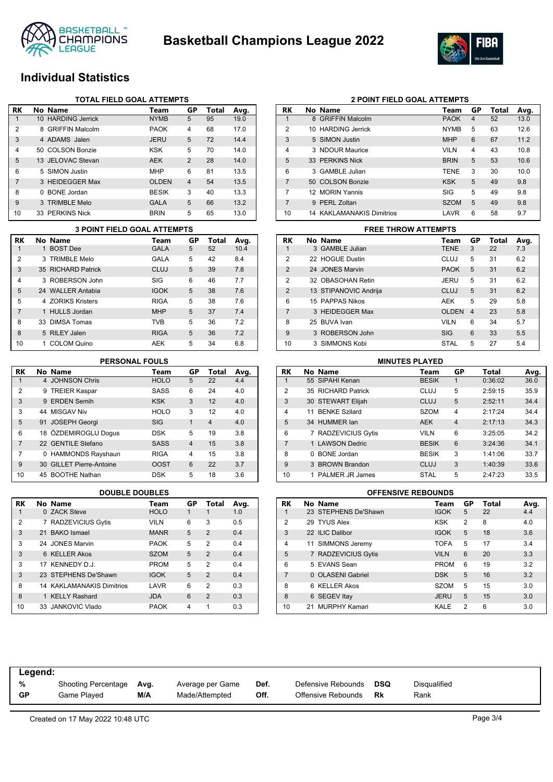



## **Individual Statistics**

|    |              | <b>TOTAL FIELD GOAL ATTEMPTS</b> |              |                |       |      |
|----|--------------|----------------------------------|--------------|----------------|-------|------|
| RK |              | No Name                          | Team         | GP             | Total | Avg. |
| 1  |              | 10 HARDING Jerrick               | <b>NYMB</b>  | 5              | 95    | 19.0 |
| 2  | 8            | <b>GRIFFIN Malcolm</b>           | <b>PAOK</b>  | 4              | 68    | 17.0 |
| 3  |              | 4 ADAMS Jalen                    | <b>JERU</b>  | 5              | 72    | 14.4 |
| 4  | 50.          | <b>COLSON Bonzie</b>             | <b>KSK</b>   | 5              | 70    | 14.0 |
| 5  |              | 13 JELOVAC Stevan                | <b>AEK</b>   | 2              | 28    | 14.0 |
| 6  |              | 5 SIMON Justin                   | <b>MHP</b>   | 6              | 81    | 13.5 |
| 7  |              | 3 HEIDEGGER Max                  | <b>OLDEN</b> | $\overline{4}$ | 54    | 13.5 |
| 8  | <sup>0</sup> | <b>BONE</b> Jordan               | <b>BESIK</b> | 3              | 40    | 13.3 |
| 9  |              | 3 TRIMBLE Melo                   | <b>GALA</b>  | 5              | 66    | 13.2 |
| 10 |              | 33 PERKINS Nick                  | <b>BRIN</b>  | 5              | 65    | 13.0 |

|                | <b>3 POINT FIELD GOAL ATTEMPTS</b> |             |    |       |      |
|----------------|------------------------------------|-------------|----|-------|------|
| RK             | No Name                            | Team        | GP | Total | Avg. |
|                | 1 BOST Dee                         | <b>GALA</b> | 5  | 52    | 10.4 |
| 2              | 3 TRIMBLE Melo                     | GALA        | 5  | 42    | 8.4  |
| 3              | 35 RICHARD Patrick                 | <b>CLUJ</b> | 5  | 39    | 7.8  |
| 4              | 3 ROBERSON John                    | SIG         | 6  | 46    | 7.7  |
| 5              | 24 WALLER Antabia                  | <b>IGOK</b> | 5  | 38    | 7.6  |
| 5              | 4 70RIKS Kristers                  | <b>RIGA</b> | 5  | 38    | 7.6  |
| $\overline{7}$ | 1 HULLS Jordan                     | <b>MHP</b>  | 5  | 37    | 7.4  |
| 8              | 33 DIMSA Tomas                     | <b>TVB</b>  | 5  | 36    | 7.2  |
| 8              | 5 RILEY Jalen                      | <b>RIGA</b> | 5  | 36    | 7.2  |
| 10             | 1 COLOM Quino                      | AEK         | 5  | 34    | 6.8  |

### **PERSONAL FOULS**

| RK | No Name                  | Team        | GP             | Total          | Avg. |
|----|--------------------------|-------------|----------------|----------------|------|
| 1  | 4 JOHNSON Chris          | <b>HOLO</b> | 5              | 22             | 4.4  |
| 2  | 9 TREIER Kaspar          | <b>SASS</b> | 6              | 24             | 4.0  |
| 3  | 9 ERDEN Semih            | <b>KSK</b>  | 3              | 12             | 4.0  |
| 3  | 44 MISGAV Niv            | <b>HOLO</b> | 3              | 12             | 4.0  |
| 5  | 91 JOSEPH Georgi         | <b>SIG</b>  | 1              | $\overline{4}$ | 4.0  |
| 6  | 18 ÖZDEMIROGLU Dogus     | <b>DSK</b>  | 5              | 19             | 3.8  |
| 7  | 22 GENTILE Stefano       | <b>SASS</b> | $\overline{4}$ | 15             | 3.8  |
| 7  | 0 HAMMONDS Rayshaun      | <b>RIGA</b> | 4              | 15             | 3.8  |
| 9  | 30 GILLET Pierre-Antoine | <b>OOST</b> | 6              | 22             | 3.7  |
| 10 | 45 BOOTHE Nathan         | <b>DSK</b>  | 5              | 18             | 3.6  |

| <b>RK</b>      | No Name                          | Team        | GP | Total          | Avg. |
|----------------|----------------------------------|-------------|----|----------------|------|
| 1              | 0 ZACK Steve                     | <b>HOLO</b> | 1  |                | 1.0  |
| $\overline{2}$ | 7 RADZEVICIUS Gytis              | <b>VILN</b> | 6  | 3              | 0.5  |
| 3              | 21 BAKO Ismael                   | <b>MANR</b> | 5  | $\overline{2}$ | 0.4  |
| 3              | 24 JONES Marvin                  | <b>PAOK</b> | 5  | 2              | 0.4  |
| 3              | 6 KELLER Akos                    | <b>SZOM</b> | 5  | $\overline{2}$ | 0.4  |
| 3              | 17 KENNEDY D.J.                  | <b>PROM</b> | 5  | 2              | 0.4  |
| 3              | 23 STEPHENS De'Shawn             | <b>IGOK</b> | 5  | $\mathcal{P}$  | 0.4  |
| 8              | <b>14 KAKLAMANAKIS Dimitrios</b> | LAVR        | 6  | $\overline{2}$ | 0.3  |
| 8              | 1 KELLY Rashard                  | <b>JDA</b>  | 6  | $\mathcal{P}$  | 0.3  |
| 10             | 33 JANKOVIC Vlado                | <b>PAOK</b> | 4  | 1              | 0.3  |

|                | <b>2 POINT FIELD GOAL ATTEMPTS</b> |                           |             |    |       |      |  |
|----------------|------------------------------------|---------------------------|-------------|----|-------|------|--|
| RK             |                                    | No Name                   | Team        | GP | Total | Avg. |  |
| 1              |                                    | 8 GRIFFIN Malcolm         | <b>PAOK</b> | 4  | 52    | 13.0 |  |
| 2              |                                    | 10 HARDING Jerrick        | <b>NYMB</b> | 5  | 63    | 12.6 |  |
| 3              |                                    | 5 SIMON Justin            | <b>MHP</b>  | 6  | 67    | 11.2 |  |
| 4              |                                    | 3 NDOUR Maurice           | <b>VILN</b> | 4  | 43    | 10.8 |  |
| 5              |                                    | 33 PFRKINS Nick           | <b>BRIN</b> | 5  | 53    | 10.6 |  |
| 6              |                                    | 3 GAMBLE Julian           | <b>TENE</b> | 3  | 30    | 10.0 |  |
| $\overline{7}$ |                                    | 50 COLSON Bonzie          | <b>KSK</b>  | 5  | 49    | 9.8  |  |
| 7              |                                    | 12 MORIN Yannis           | SIG         | 5  | 49    | 9.8  |  |
| 7              |                                    | 9 PERL Zoltan             | <b>SZOM</b> | 5  | 49    | 9.8  |  |
| 10             |                                    | 14 KAKLAMANAKIS Dimitrios | LAVR        | 6  | 58    | 9.7  |  |

#### **3 POINT FIELD GOAL ATTEMPTS FREE THROW ATTEMPTS**

|                | FREE INNOW ATTEMPTS   |              |    |       |      |
|----------------|-----------------------|--------------|----|-------|------|
| <b>RK</b>      | No Name               | Team         | GP | Total | Avg. |
| 1              | 3 GAMBLE Julian       | <b>TENE</b>  | 3  | 22    | 7.3  |
| 2              | 22 HOGUE Dustin       | CLUJ         | 5  | 31    | 6.2  |
| $\overline{2}$ | 24 JONES Marvin       | <b>PAOK</b>  | 5  | 31    | 6.2  |
| $\overline{2}$ | 32 OBASOHAN Retin     | JERU         | 5  | 31    | 6.2  |
| $\overline{2}$ | 13 STIPANOVIC Andrija | CLUJ         | 5  | 31    | 6.2  |
| 6              | 15 PAPPAS Nikos       | <b>AEK</b>   | 5  | 29    | 5.8  |
| 7              | 3 HEIDEGGER Max       | <b>OLDEN</b> | 4  | 23    | 5.8  |
| 8              | 25 BUVA Ivan          | <b>VILN</b>  | 6  | 34    | 5.7  |
| 9              | 3 ROBERSON John       | <b>SIG</b>   | 6  | 33    | 5.5  |
| 10             | 3 SIMMONS Kobi        | <b>STAL</b>  | 5  | 27    | 5.4  |

| <b>MINUTES PLAYED</b> |    |                          |              |                         |         |      |  |  |  |
|-----------------------|----|--------------------------|--------------|-------------------------|---------|------|--|--|--|
| <b>RK</b>             |    | No Name                  | Team         | GP                      | Total   | Avg. |  |  |  |
|                       |    | 55 SIPAHI Kenan          | <b>BESIK</b> | 1                       | 0:36:02 | 36.0 |  |  |  |
| $\overline{2}$        |    | 35 RICHARD Patrick       | CLUJ         | 5                       | 2:59:15 | 35.9 |  |  |  |
| 3                     |    | 30 STEWART Elijah        | <b>CLUJ</b>  | 5                       | 2:52:11 | 34.4 |  |  |  |
| $\overline{4}$        | 11 | <b>BENKE Szilard</b>     | <b>SZOM</b>  | 4                       | 2:17:24 | 34.4 |  |  |  |
| 5                     |    | 34 HUMMER lan            | <b>AEK</b>   | $\overline{\mathbf{4}}$ | 2:17:13 | 34.3 |  |  |  |
| 6                     | 7  | <b>RADZEVICIUS Gytis</b> | <b>VILN</b>  | 6                       | 3:25:05 | 34.2 |  |  |  |
| $\overline{7}$        |    | 1 LAWSON Dedric          | <b>BESIK</b> | 6                       | 3:24:36 | 34.1 |  |  |  |
| 8                     | 0  | <b>BONE</b> Jordan       | <b>BESIK</b> | 3                       | 1:41:06 | 33.7 |  |  |  |
| 9                     |    | 3 BROWN Brandon          | <b>CLUJ</b>  | 3                       | 1:40:39 | 33.6 |  |  |  |
| 10                    |    | PALMER JR James          | <b>STAL</b>  | 5                       | 2:47:23 | 33.5 |  |  |  |

#### **DOUBLE DOUBLES OFFENSIVE REBOUNDS**

| RK             |    | No Name              | Team        | GP             | Total | Avg. |
|----------------|----|----------------------|-------------|----------------|-------|------|
| 1              |    | 23 STEPHENS De'Shawn | <b>IGOK</b> | 5              | 22    | 4.4  |
| $\overline{2}$ |    | 29 TYUS Alex         | <b>KSK</b>  | $\overline{2}$ | 8     | 4.0  |
| 3              |    | 22 ILIC Dalibor      | <b>IGOK</b> | 5              | 18    | 3.6  |
| 4              |    | 11 SIMMONS Jeremy    | TOFA        | 5              | 17    | 3.4  |
| 5              |    | 7 RADZEVICIUS Gytis  | <b>VILN</b> | 6              | 20    | 3.3  |
| 6              |    | 5 EVANS Sean         | <b>PROM</b> | 6              | 19    | 3.2  |
| 7              |    | 0 OLASENI Gabriel    | <b>DSK</b>  | 5              | 16    | 3.2  |
| 8              | 6. | <b>KELLER Akos</b>   | <b>SZOM</b> | 5              | 15    | 3.0  |
| 8              |    | 6 SEGEV Itay         | <b>JERU</b> | 5              | 15    | 3.0  |
| 10             | 21 | <b>MURPHY Kamari</b> | KALE        | 2              | 6     | 3.0  |

| Legend:   |                          |     |                  |      |                    |     |              |
|-----------|--------------------------|-----|------------------|------|--------------------|-----|--------------|
| %         | Shooting Percentage Avg. |     | Average per Game | Def. | Defensive Rebounds | DSQ | Disqualified |
| <b>GP</b> | Game Played              | M/A | Made/Attempted   | Off. | Offensive Rebounds | Rk  | Rank         |